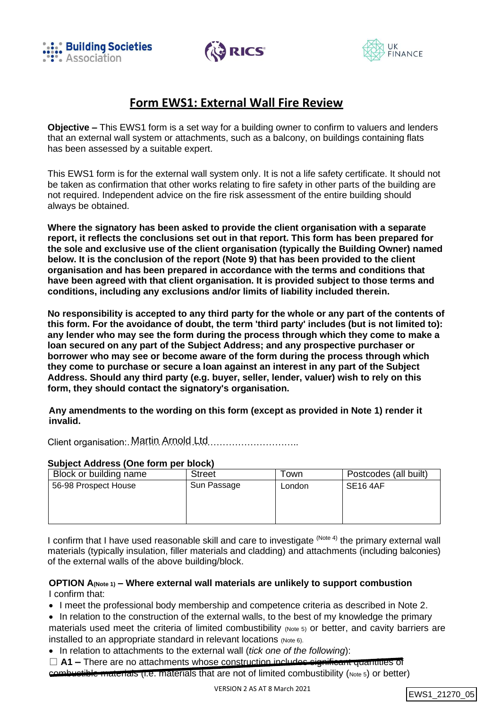





# **Form EWS1: External Wall Fire Review**

**Objective –** This EWS1 form is a set way for a building owner to confirm to valuers and lenders that an external wall system or attachments, such as a balcony, on buildings containing flats has been assessed by a suitable expert.

This EWS1 form is for the external wall system only. It is not a life safety certificate. It should not be taken as confirmation that other works relating to fire safety in other parts of the building are not required. Independent advice on the fire risk assessment of the entire building should always be obtained.

**Where the signatory has been asked to provide the client organisation with a separate report, it reflects the conclusions set out in that report. This form has been prepared for the sole and exclusive use of the client organisation (typically the Building Owner) named below. It is the conclusion of the report (Note 9) that has been provided to the client organisation and has been prepared in accordance with the terms and conditions that have been agreed with that client organisation. It is provided subject to those terms and conditions, including any exclusions and/or limits of liability included therein.**

**No responsibility is accepted to any third party for the whole or any part of the contents of this form. For the avoidance of doubt, the term 'third party' includes (but is not limited to): any lender who may see the form during the process through which they come to make a loan secured on any part of the Subject Address; and any prospective purchaser or borrower who may see or become aware of the form during the process through which they come to purchase or secure a loan against an interest in any part of the Subject Address. Should any third party (e.g. buyer, seller, lender, valuer) wish to rely on this form, they should contact the signatory's organisation.**

**Any amendments to the wording on this form (except as provided in Note 1) render it invalid.**

Client organisation: Martin Arnold Ltd............................

#### **Subject Address (One form per block)**

| <b>Street</b> | Town   | Postcodes (all built) |  |
|---------------|--------|-----------------------|--|
| Sun Passage   | London | <b>SE16 4AF</b>       |  |
|               |        |                       |  |
|               |        |                       |  |
|               |        |                       |  |
|               |        |                       |  |

I confirm that I have used reasonable skill and care to investigate <sup>(Note 4)</sup> the primary external wall materials (typically insulation, filler materials and cladding) and attachments (including balconies) of the external walls of the above building/block.

### **OPTION A(Note 1) – Where external wall materials are unlikely to support combustion** I confirm that:

• I meet the professional body membership and competence criteria as described in Note 2.

- In relation to the construction of the external walls, to the best of my knowledge the primary materials used meet the criteria of limited combustibility (Note 5) or better, and cavity barriers are installed to an appropriate standard in relevant locations (Note 6).
- In relation to attachments to the external wall (*tick one of the following*):
- □ **A1** There are no attachments whose construction includes significant quantities of combustible materials (i.e. materials that are not of limited combustibility (Note 5) or better)

```
EWS1_21270_05
```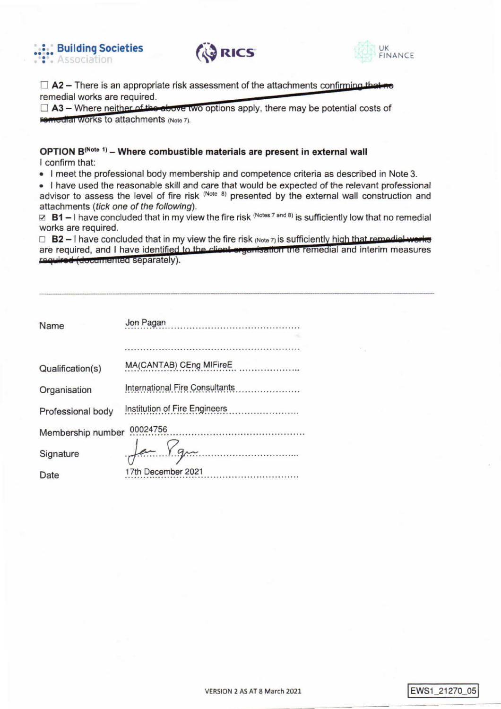





 $\Box$  A2 – There is an appropriate risk assessment of the attachments confirming the remedial works are required.

 $\Box$  A3 – Where neither of the above two options apply, there may be potential costs of Femedial Works to attachments (Note 7).

# OPTION B(Note 1) - Where combustible materials are present in external wall I confirm that:

. I meet the professional body membership and competence criteria as described in Note 3.

• I have used the reasonable skill and care that would be expected of the relevant professional advisor to assess the level of fire risk (Note 8) presented by the external wall construction and attachments (tick one of the following).

⊠ B1 – I have concluded that in my view the fire risk  $(Mots 7 and 8)$  is sufficiently low that no remedial works are required.

 $\Box$  B2 - I have concluded that in my view the fire risk (Note 7) is sufficiently high that remedial works are required, and I have identified to the client organization the remedial and interim measures required (documented separately).

| <b>Name</b>       | Jon Pagan                      |
|-------------------|--------------------------------|
|                   |                                |
| Qualification(s)  | MA(CANTAB) CEng MIFireE        |
| Organisation      | International Fire Consultants |
| Professional body | Institution of Fire Engineers  |
| Membership number | 00024756                       |
| Signature         | $20 - Yg$                      |
| Date              | 17th December 2021             |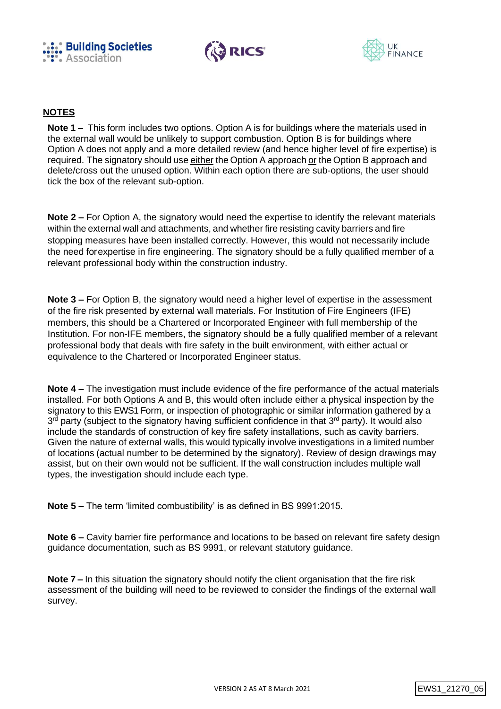





# **NOTES**

**Note 1 –** This form includes two options. Option A is for buildings where the materials used in the external wall would be unlikely to support combustion. Option B is for buildings where Option A does not apply and a more detailed review (and hence higher level of fire expertise) is required. The signatory should use either the Option A approach or the Option B approach and delete/cross out the unused option. Within each option there are sub-options, the user should tick the box of the relevant sub-option.

**Note 2 –** For Option A, the signatory would need the expertise to identify the relevant materials within the external wall and attachments, and whether fire resisting cavity barriers and fire stopping measures have been installed correctly. However, this would not necessarily include the need forexpertise in fire engineering. The signatory should be a fully qualified member of a relevant professional body within the construction industry.

**Note 3 –** For Option B, the signatory would need a higher level of expertise in the assessment of the fire risk presented by external wall materials. For Institution of Fire Engineers (IFE) members, this should be a Chartered or Incorporated Engineer with full membership of the Institution. For non-IFE members, the signatory should be a fully qualified member of a relevant professional body that deals with fire safety in the built environment, with either actual or equivalence to the Chartered or Incorporated Engineer status.

**Note 4 –** The investigation must include evidence of the fire performance of the actual materials installed. For both Options A and B, this would often include either a physical inspection by the signatory to this EWS1 Form, or inspection of photographic or similar information gathered by a 3<sup>rd</sup> party (subject to the signatory having sufficient confidence in that 3<sup>rd</sup> party). It would also include the standards of construction of key fire safety installations, such as cavity barriers. Given the nature of external walls, this would typically involve investigations in a limited number of locations (actual number to be determined by the signatory). Review of design drawings may assist, but on their own would not be sufficient. If the wall construction includes multiple wall types, the investigation should include each type.

**Note 5 –** The term 'limited combustibility' is as defined in BS 9991:2015.

**Note 6 –** Cavity barrier fire performance and locations to be based on relevant fire safety design guidance documentation, such as BS 9991, or relevant statutory guidance.

**Note 7 –** In this situation the signatory should notify the client organisation that the fire risk assessment of the building will need to be reviewed to consider the findings of the external wall survey.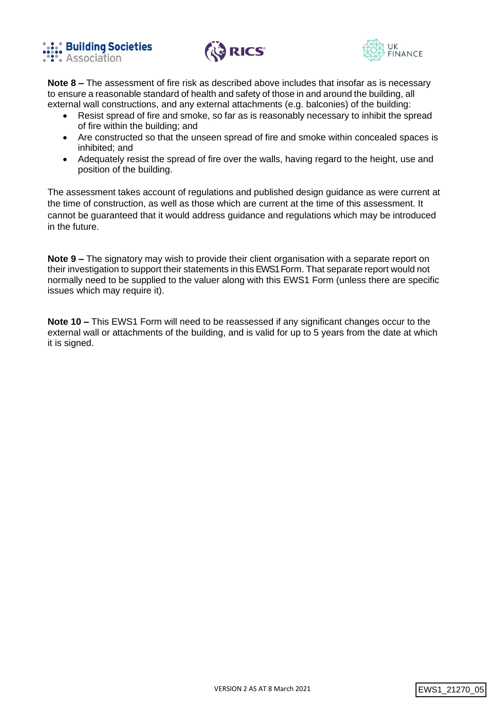





**Note 8 –** The assessment of fire risk as described above includes that insofar as is necessary to ensure a reasonable standard of health and safety of those in and around the building, all external wall constructions, and any external attachments (e.g. balconies) of the building:

- Resist spread of fire and smoke, so far as is reasonably necessary to inhibit the spread of fire within the building; and
- Are constructed so that the unseen spread of fire and smoke within concealed spaces is inhibited; and
- Adequately resist the spread of fire over the walls, having regard to the height, use and position of the building.

The assessment takes account of regulations and published design guidance as were current at the time of construction, as well as those which are current at the time of this assessment. It cannot be guaranteed that it would address guidance and regulations which may be introduced in the future.

**Note 9 –** The signatory may wish to provide their client organisation with a separate report on their investigation to support their statements in this EWS1 Form. That separate report would not normally need to be supplied to the valuer along with this EWS1 Form (unless there are specific issues which may require it).

**Note 10 –** This EWS1 Form will need to be reassessed if any significant changes occur to the external wall or attachments of the building, and is valid for up to 5 years from the date at which it is signed.